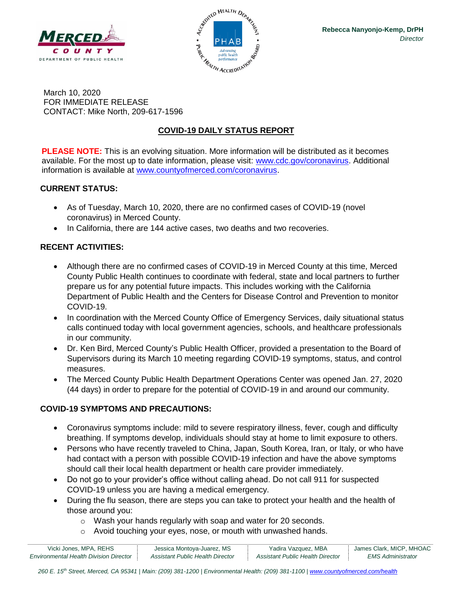



March 10, 2020 FOR IMMEDIATE RELEASE CONTACT: Mike North, 209-617-1596

# **COVID-19 DAILY STATUS REPORT**

**PLEASE NOTE:** This is an evolving situation. More information will be distributed as it becomes available. For the most up to date information, please visit: [www.cdc.gov/coronavirus.](http://www.cdc.gov/coronavirus) Additional information is available at [www.countyofmerced.com/coronavirus.](http://www.countyofmerced.com/coronavirus)

### **CURRENT STATUS:**

- As of Tuesday, March 10, 2020, there are no confirmed cases of COVID-19 (novel coronavirus) in Merced County.
- In California, there are 144 active cases, two deaths and two recoveries.

## **RECENT ACTIVITIES:**

- Although there are no confirmed cases of COVID-19 in Merced County at this time, Merced County Public Health continues to coordinate with federal, state and local partners to further prepare us for any potential future impacts. This includes working with the California Department of Public Health and the Centers for Disease Control and Prevention to monitor COVID-19.
- In coordination with the Merced County Office of Emergency Services, daily situational status calls continued today with local government agencies, schools, and healthcare professionals in our community.
- Dr. Ken Bird, Merced County's Public Health Officer, provided a presentation to the Board of Supervisors during its March 10 meeting regarding COVID-19 symptoms, status, and control measures.
- The Merced County Public Health Department Operations Center was opened Jan. 27, 2020 (44 days) in order to prepare for the potential of COVID-19 in and around our community.

## **COVID-19 SYMPTOMS AND PRECAUTIONS:**

- Coronavirus symptoms include: mild to severe respiratory illness, fever, cough and difficulty breathing. If symptoms develop, individuals should stay at home to limit exposure to others.
- Persons who have recently traveled to China, Japan, South Korea, Iran, or Italy, or who have had contact with a person with possible COVID-19 infection and have the above symptoms should call their local health department or health care provider immediately.
- Do not go to your provider's office without calling ahead. Do not call 911 for suspected COVID-19 unless you are having a medical emergency.
- During the flu season, there are steps you can take to protect your health and the health of those around you:
	- o Wash your hands regularly with soap and water for 20 seconds.
	- o Avoid touching your eyes, nose, or mouth with unwashed hands.

| Vicki Jones, MPA, REHS                        | Jessica Montoya-Juarez, MS       | Yadira Vazquez, MBA              | James Clark, MICP, MHOAC |
|-----------------------------------------------|----------------------------------|----------------------------------|--------------------------|
| <b>Environmental Health Division Director</b> | Assistant Public Health Director | Assistant Public Health Director | EMS Administrator        |